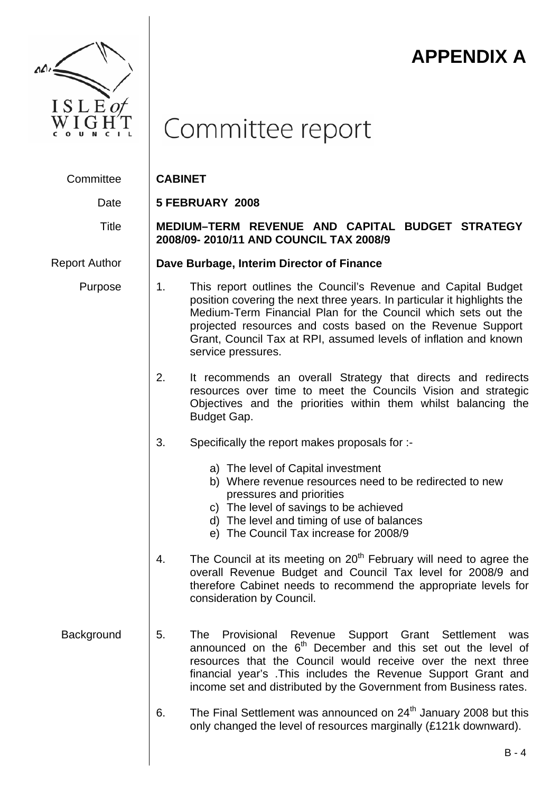

# **APPENDIX A**

# Committee report

Committee **CABINET** 

Date **5 FEBRUARY 2008** 

## Title **MEDIUM–TERM REVENUE AND CAPITAL BUDGET STRATEGY 2008/09- 2010/11 AND COUNCIL TAX 2008/9**

Report Author **Dave Burbage, Interim Director of Finance**

- Purpose 1. This report outlines the Council's Revenue and Capital Budget position covering the next three years. In particular it highlights the Medium-Term Financial Plan for the Council which sets out the projected resources and costs based on the Revenue Support Grant, Council Tax at RPI, assumed levels of inflation and known service pressures.
	- 2. It recommends an overall Strategy that directs and redirects resources over time to meet the Councils Vision and strategic Objectives and the priorities within them whilst balancing the Budget Gap.
	- 3. Specifically the report makes proposals for :
		- a) The level of Capital investment
		- b) Where revenue resources need to be redirected to new pressures and priorities
		- c) The level of savings to be achieved
		- d) The level and timing of use of balances
		- e) The Council Tax increase for 2008/9
	- 4. The Council at its meeting on  $20<sup>th</sup>$  February will need to agree the overall Revenue Budget and Council Tax level for 2008/9 and therefore Cabinet needs to recommend the appropriate levels for consideration by Council.
- Background 5. The Provisional Revenue Support Grant Settlement was announced on the  $6<sup>th</sup>$  December and this set out the level of resources that the Council would receive over the next three financial year's .This includes the Revenue Support Grant and income set and distributed by the Government from Business rates.
	- 6. The Final Settlement was announced on  $24<sup>th</sup>$  January 2008 but this only changed the level of resources marginally (£121k downward).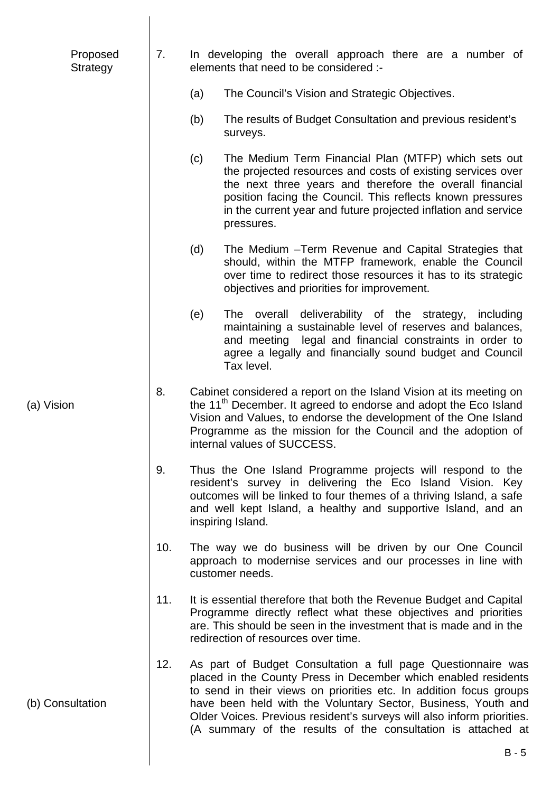| Proposed<br><b>Strategy</b> | 7.  | In developing the overall approach there are a number of<br>elements that need to be considered :-                                                                                                                                                                                                                                                                                                              |
|-----------------------------|-----|-----------------------------------------------------------------------------------------------------------------------------------------------------------------------------------------------------------------------------------------------------------------------------------------------------------------------------------------------------------------------------------------------------------------|
|                             |     | The Council's Vision and Strategic Objectives.<br>(a)                                                                                                                                                                                                                                                                                                                                                           |
|                             |     | The results of Budget Consultation and previous resident's<br>(b)<br>surveys.                                                                                                                                                                                                                                                                                                                                   |
|                             |     | (c)<br>The Medium Term Financial Plan (MTFP) which sets out<br>the projected resources and costs of existing services over<br>the next three years and therefore the overall financial<br>position facing the Council. This reflects known pressures<br>in the current year and future projected inflation and service<br>pressures.                                                                            |
|                             |     | The Medium - Term Revenue and Capital Strategies that<br>(d)<br>should, within the MTFP framework, enable the Council<br>over time to redirect those resources it has to its strategic<br>objectives and priorities for improvement.                                                                                                                                                                            |
|                             |     | (e)<br>overall deliverability of the strategy,<br>The<br>including<br>maintaining a sustainable level of reserves and balances,<br>and meeting legal and financial constraints in order to<br>agree a legally and financially sound budget and Council<br>Tax level.                                                                                                                                            |
| (a) Vision                  | 8.  | Cabinet considered a report on the Island Vision at its meeting on<br>the 11 <sup>th</sup> December. It agreed to endorse and adopt the Eco Island<br>Vision and Values, to endorse the development of the One Island<br>Programme as the mission for the Council and the adoption of<br>internal values of SUCCESS.                                                                                            |
|                             | 9.  | Thus the One Island Programme projects will respond to the<br>resident's survey in delivering the Eco Island Vision. Key<br>outcomes will be linked to four themes of a thriving Island, a safe<br>and well kept Island, a healthy and supportive Island, and an<br>inspiring Island.                                                                                                                           |
|                             | 10. | The way we do business will be driven by our One Council<br>approach to modernise services and our processes in line with<br>customer needs.                                                                                                                                                                                                                                                                    |
|                             | 11. | It is essential therefore that both the Revenue Budget and Capital<br>Programme directly reflect what these objectives and priorities<br>are. This should be seen in the investment that is made and in the<br>redirection of resources over time.                                                                                                                                                              |
| (b) Consultation            | 12. | As part of Budget Consultation a full page Questionnaire was<br>placed in the County Press in December which enabled residents<br>to send in their views on priorities etc. In addition focus groups<br>have been held with the Voluntary Sector, Business, Youth and<br>Older Voices. Previous resident's surveys will also inform priorities.<br>(A summary of the results of the consultation is attached at |
|                             |     |                                                                                                                                                                                                                                                                                                                                                                                                                 |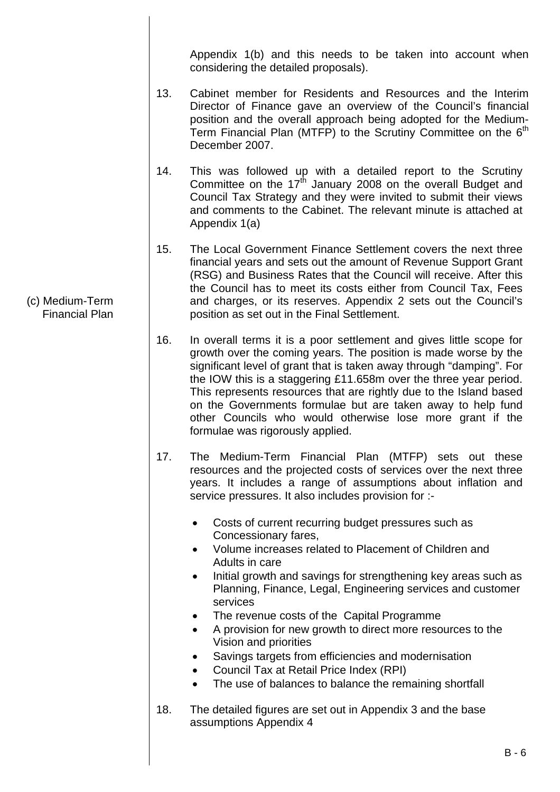Appendix 1(b) and this needs to be taken into account when considering the detailed proposals).

- 13. Cabinet member for Residents and Resources and the Interim Director of Finance gave an overview of the Council's financial position and the overall approach being adopted for the Medium-Term Financial Plan (MTFP) to the Scrutiny Committee on the  $6<sup>th</sup>$ December 2007.
- 14. This was followed up with a detailed report to the Scrutiny Committee on the  $17<sup>th</sup>$  January 2008 on the overall Budget and Council Tax Strategy and they were invited to submit their views and comments to the Cabinet. The relevant minute is attached at Appendix 1(a)
- 15. The Local Government Finance Settlement covers the next three financial years and sets out the amount of Revenue Support Grant (RSG) and Business Rates that the Council will receive. After this the Council has to meet its costs either from Council Tax, Fees and charges, or its reserves. Appendix 2 sets out the Council's position as set out in the Final Settlement.
- 16. In overall terms it is a poor settlement and gives little scope for growth over the coming years. The position is made worse by the significant level of grant that is taken away through "damping". For the IOW this is a staggering £11.658m over the three year period. This represents resources that are rightly due to the Island based on the Governments formulae but are taken away to help fund other Councils who would otherwise lose more grant if the formulae was rigorously applied.
- 17. The Medium-Term Financial Plan (MTFP) sets out these resources and the projected costs of services over the next three years. It includes a range of assumptions about inflation and service pressures. It also includes provision for :-
	- Costs of current recurring budget pressures such as Concessionary fares,
	- Volume increases related to Placement of Children and Adults in care
	- Initial growth and savings for strengthening key areas such as Planning, Finance, Legal, Engineering services and customer services
	- The revenue costs of the Capital Programme
	- A provision for new growth to direct more resources to the Vision and priorities
	- Savings targets from efficiencies and modernisation
	- Council Tax at Retail Price Index (RPI)
	- The use of balances to balance the remaining shortfall
- 18. The detailed figures are set out in Appendix 3 and the base assumptions Appendix 4

(c) Medium-Term Financial Plan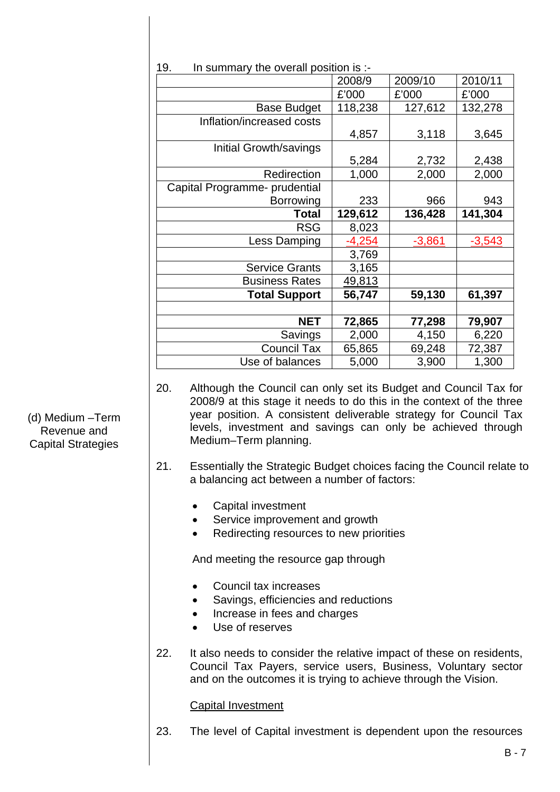|                               | 2008/9   | 2009/10  | 2010/11  |
|-------------------------------|----------|----------|----------|
|                               | £'000    | £'000    | £'000    |
| <b>Base Budget</b>            | 118,238  | 127,612  | 132,278  |
| Inflation/increased costs     |          |          |          |
|                               | 4,857    | 3,118    | 3,645    |
| Initial Growth/savings        |          |          |          |
|                               | 5,284    | 2,732    | 2,438    |
| Redirection                   | 1,000    | 2,000    | 2,000    |
| Capital Programme- prudential |          |          |          |
| <b>Borrowing</b>              | 233      | 966      | 943      |
| <b>Total</b>                  | 129,612  | 136,428  | 141,304  |
| <b>RSG</b>                    | 8,023    |          |          |
| Less Damping                  | $-4,254$ | $-3,861$ | $-3,543$ |
|                               | 3,769    |          |          |
| <b>Service Grants</b>         | 3,165    |          |          |
|                               |          |          |          |
| <b>Business Rates</b>         | 49,813   |          |          |
| <b>Total Support</b>          | 56,747   | 59,130   | 61,397   |
|                               |          |          |          |
| <b>NET</b>                    | 72,865   | 77,298   | 79,907   |
| Savings                       | 2,000    | 4,150    | 6,220    |
| <b>Council Tax</b>            | 65,865   | 69,248   | 72,387   |

19. In summary the overall position is :-

- 20. Although the Council can only set its Budget and Council Tax for 2008/9 at this stage it needs to do this in the context of the three year position. A consistent deliverable strategy for Council Tax levels, investment and savings can only be achieved through Medium–Term planning.
- 21. Essentially the Strategic Budget choices facing the Council relate to a balancing act between a number of factors:
	- Capital investment
	- Service improvement and growth
	- Redirecting resources to new priorities

And meeting the resource gap through

- Council tax increases
- Savings, efficiencies and reductions
- Increase in fees and charges
- Use of reserves
- 22. It also needs to consider the relative impact of these on residents, Council Tax Payers, service users, Business, Voluntary sector and on the outcomes it is trying to achieve through the Vision.

#### Capital Investment

23. The level of Capital investment is dependent upon the resources

(d) Medium –Term Revenue and Capital Strategies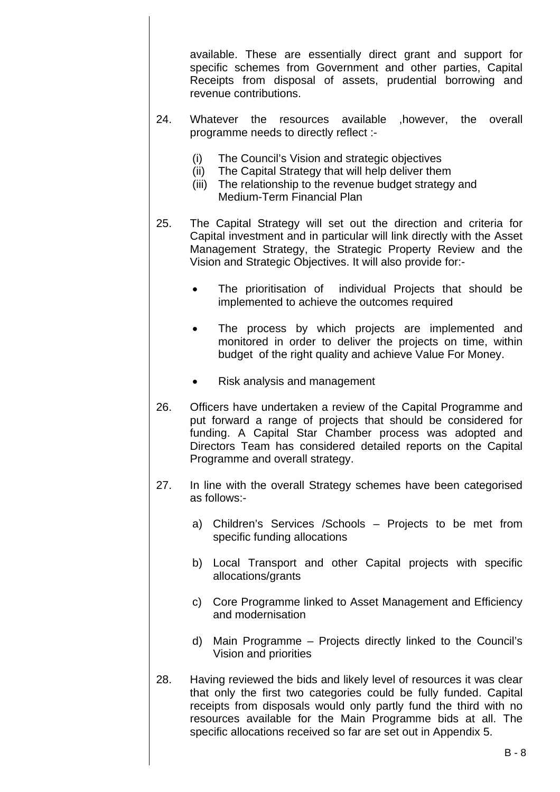available. These are essentially direct grant and support for specific schemes from Government and other parties, Capital Receipts from disposal of assets, prudential borrowing and revenue contributions.

- 24. Whatever the resources available ,however, the overall programme needs to directly reflect :-
	- (i) The Council's Vision and strategic objectives
	- (ii) The Capital Strategy that will help deliver them
	- (iii) The relationship to the revenue budget strategy and Medium-Term Financial Plan
- 25. The Capital Strategy will set out the direction and criteria for Capital investment and in particular will link directly with the Asset Management Strategy, the Strategic Property Review and the Vision and Strategic Objectives. It will also provide for:-
	- The prioritisation of individual Projects that should be implemented to achieve the outcomes required
	- The process by which projects are implemented and monitored in order to deliver the projects on time, within budget of the right quality and achieve Value For Money.
	- Risk analysis and management
- 26. Officers have undertaken a review of the Capital Programme and put forward a range of projects that should be considered for funding. A Capital Star Chamber process was adopted and Directors Team has considered detailed reports on the Capital Programme and overall strategy.
- 27. In line with the overall Strategy schemes have been categorised as follows:
	- a) Children's Services /Schools Projects to be met from specific funding allocations
	- b) Local Transport and other Capital projects with specific allocations/grants
	- c) Core Programme linked to Asset Management and Efficiency and modernisation
	- d) Main Programme Projects directly linked to the Council's Vision and priorities
- 28. Having reviewed the bids and likely level of resources it was clear that only the first two categories could be fully funded. Capital receipts from disposals would only partly fund the third with no resources available for the Main Programme bids at all. The specific allocations received so far are set out in Appendix 5.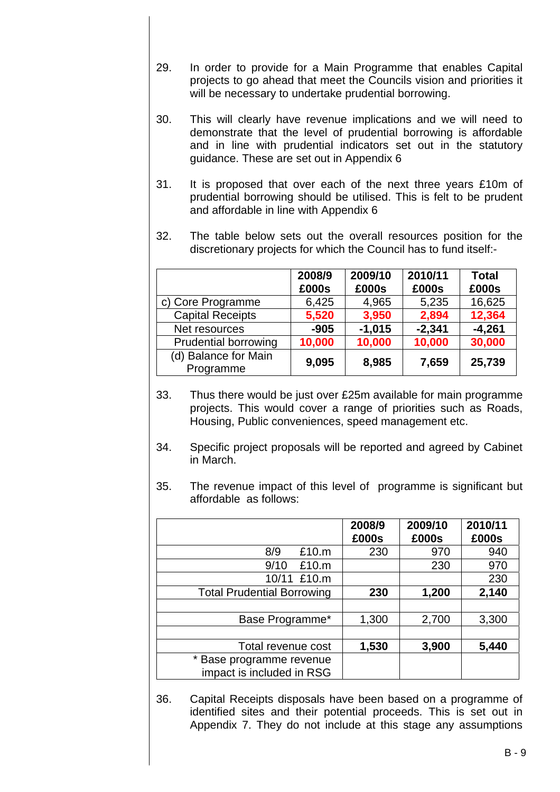- 29. In order to provide for a Main Programme that enables Capital projects to go ahead that meet the Councils vision and priorities it will be necessary to undertake prudential borrowing.
- 30. This will clearly have revenue implications and we will need to demonstrate that the level of prudential borrowing is affordable and in line with prudential indicators set out in the statutory guidance. These are set out in Appendix 6
- 31. It is proposed that over each of the next three years £10m of prudential borrowing should be utilised. This is felt to be prudent and affordable in line with Appendix 6
- 32. The table below sets out the overall resources position for the discretionary projects for which the Council has to fund itself:-

|                                   | 2008/9<br>£000s | 2009/10<br>£000s | 2010/11<br>£000s | <b>Total</b><br>£000s |
|-----------------------------------|-----------------|------------------|------------------|-----------------------|
| c) Core Programme                 | 6,425           | 4,965            | 5,235            | 16,625                |
| <b>Capital Receipts</b>           | 5,520           | 3,950            | 2,894            | 12,364                |
| Net resources                     | $-905$          | $-1,015$         | $-2,341$         | $-4,261$              |
| <b>Prudential borrowing</b>       | 10,000          | 10,000           | 10,000           | 30,000                |
| (d) Balance for Main<br>Programme | 9,095           | 8,985            | 7,659            | 25,739                |

- 33. Thus there would be just over £25m available for main programme projects. This would cover a range of priorities such as Roads, Housing, Public conveniences, speed management etc.
- 34. Specific project proposals will be reported and agreed by Cabinet in March.
- 35. The revenue impact of this level of programme is significant but affordable as follows:

|                                                       | 2008/9<br>£000s | 2009/10<br>£000s | 2010/11<br>£000s |
|-------------------------------------------------------|-----------------|------------------|------------------|
| 8/9<br>£10.m                                          | 230             | 970              | 940              |
| 9/10<br>£10.m                                         |                 | 230              | 970              |
| 10/11 £10.m                                           |                 |                  | 230              |
| <b>Total Prudential Borrowing</b>                     | 230             | 1,200            | 2,140            |
|                                                       |                 |                  |                  |
| Base Programme*                                       | 1,300           | 2,700            | 3,300            |
|                                                       |                 |                  |                  |
| Total revenue cost                                    | 1,530           | 3,900            | 5,440            |
| * Base programme revenue<br>impact is included in RSG |                 |                  |                  |

36. Capital Receipts disposals have been based on a programme of identified sites and their potential proceeds. This is set out in Appendix 7. They do not include at this stage any assumptions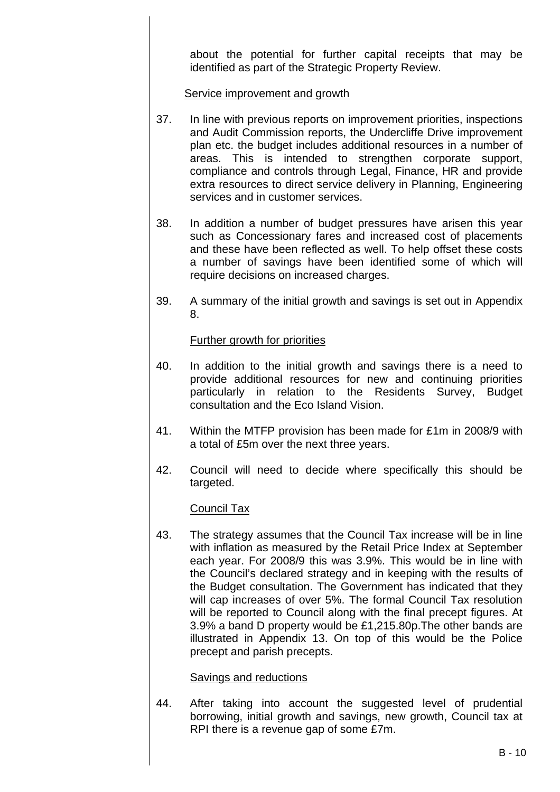about the potential for further capital receipts that may be identified as part of the Strategic Property Review.

Service improvement and growth

- 37. In line with previous reports on improvement priorities, inspections and Audit Commission reports, the Undercliffe Drive improvement plan etc. the budget includes additional resources in a number of areas. This is intended to strengthen corporate support, compliance and controls through Legal, Finance, HR and provide extra resources to direct service delivery in Planning, Engineering services and in customer services.
- 38. In addition a number of budget pressures have arisen this year such as Concessionary fares and increased cost of placements and these have been reflected as well. To help offset these costs a number of savings have been identified some of which will require decisions on increased charges.
- 39. A summary of the initial growth and savings is set out in Appendix 8.

#### Further growth for priorities

- 40. In addition to the initial growth and savings there is a need to provide additional resources for new and continuing priorities particularly in relation to the Residents Survey, Budget consultation and the Eco Island Vision.
- 41. Within the MTFP provision has been made for £1m in 2008/9 with a total of £5m over the next three years.
- 42. Council will need to decide where specifically this should be targeted.

#### Council Tax

43. The strategy assumes that the Council Tax increase will be in line with inflation as measured by the Retail Price Index at September each year. For 2008/9 this was 3.9%. This would be in line with the Council's declared strategy and in keeping with the results of the Budget consultation. The Government has indicated that they will cap increases of over 5%. The formal Council Tax resolution will be reported to Council along with the final precept figures. At 3.9% a band D property would be £1,215.80p.The other bands are illustrated in Appendix 13. On top of this would be the Police precept and parish precepts.

#### Savings and reductions

44. After taking into account the suggested level of prudential borrowing, initial growth and savings, new growth, Council tax at RPI there is a revenue gap of some £7m.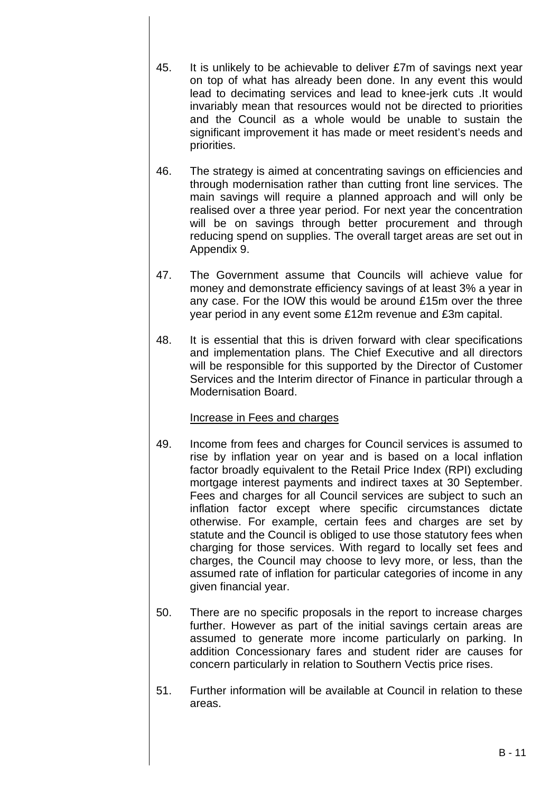- 45. It is unlikely to be achievable to deliver £7m of savings next year on top of what has already been done. In any event this would lead to decimating services and lead to knee-jerk cuts .It would invariably mean that resources would not be directed to priorities and the Council as a whole would be unable to sustain the significant improvement it has made or meet resident's needs and priorities.
- 46. The strategy is aimed at concentrating savings on efficiencies and through modernisation rather than cutting front line services. The main savings will require a planned approach and will only be realised over a three year period. For next year the concentration will be on savings through better procurement and through reducing spend on supplies. The overall target areas are set out in Appendix 9.
- 47. The Government assume that Councils will achieve value for money and demonstrate efficiency savings of at least 3% a year in any case. For the IOW this would be around £15m over the three year period in any event some £12m revenue and £3m capital.
- 48. It is essential that this is driven forward with clear specifications and implementation plans. The Chief Executive and all directors will be responsible for this supported by the Director of Customer Services and the Interim director of Finance in particular through a Modernisation Board.

## Increase in Fees and charges

- 49. Income from fees and charges for Council services is assumed to rise by inflation year on year and is based on a local inflation factor broadly equivalent to the Retail Price Index (RPI) excluding mortgage interest payments and indirect taxes at 30 September. Fees and charges for all Council services are subject to such an inflation factor except where specific circumstances dictate otherwise. For example, certain fees and charges are set by statute and the Council is obliged to use those statutory fees when charging for those services. With regard to locally set fees and charges, the Council may choose to levy more, or less, than the assumed rate of inflation for particular categories of income in any given financial year.
- 50. There are no specific proposals in the report to increase charges further. However as part of the initial savings certain areas are assumed to generate more income particularly on parking. In addition Concessionary fares and student rider are causes for concern particularly in relation to Southern Vectis price rises.
- 51. Further information will be available at Council in relation to these areas.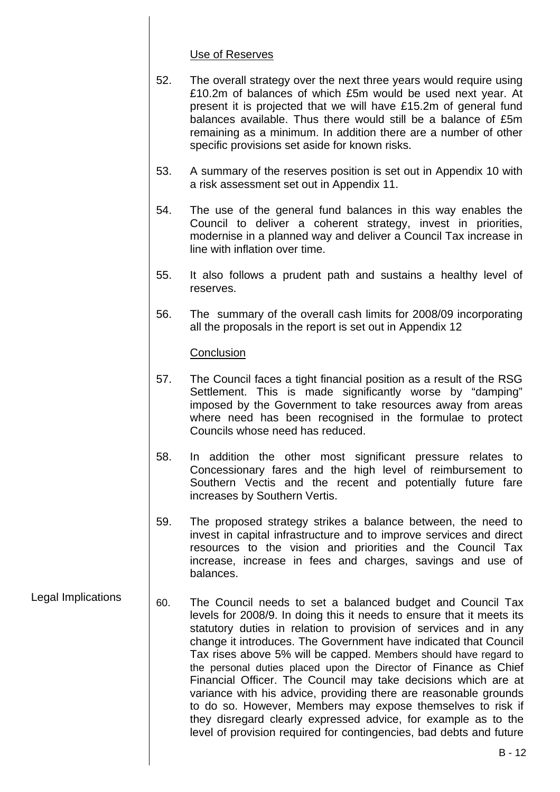#### Use of Reserves

- 52. The overall strategy over the next three years would require using £10.2m of balances of which £5m would be used next year. At present it is projected that we will have £15.2m of general fund balances available. Thus there would still be a balance of £5m remaining as a minimum. In addition there are a number of other specific provisions set aside for known risks.
- 53. A summary of the reserves position is set out in Appendix 10 with a risk assessment set out in Appendix 11.
- 54. The use of the general fund balances in this way enables the Council to deliver a coherent strategy, invest in priorities, modernise in a planned way and deliver a Council Tax increase in line with inflation over time.
- 55. It also follows a prudent path and sustains a healthy level of reserves.
- 56. The summary of the overall cash limits for 2008/09 incorporating all the proposals in the report is set out in Appendix 12

#### **Conclusion**

- 57. The Council faces a tight financial position as a result of the RSG Settlement. This is made significantly worse by "damping" imposed by the Government to take resources away from areas where need has been recognised in the formulae to protect Councils whose need has reduced.
- 58. In addition the other most significant pressure relates to Concessionary fares and the high level of reimbursement to Southern Vectis and the recent and potentially future fare increases by Southern Vertis.
- 59. The proposed strategy strikes a balance between, the need to invest in capital infrastructure and to improve services and direct resources to the vision and priorities and the Council Tax increase, increase in fees and charges, savings and use of balances.
- Legal Implications  $\begin{vmatrix} 60. \end{vmatrix}$  The Council needs to set a balanced budget and Council Tax levels for 2008/9. In doing this it needs to ensure that it meets its statutory duties in relation to provision of services and in any change it introduces. The Government have indicated that Council Tax rises above 5% will be capped. Members should have regard to the personal duties placed upon the Director of Finance as Chief Financial Officer. The Council may take decisions which are at variance with his advice, providing there are reasonable grounds to do so. However, Members may expose themselves to risk if they disregard clearly expressed advice, for example as to the level of provision required for contingencies, bad debts and future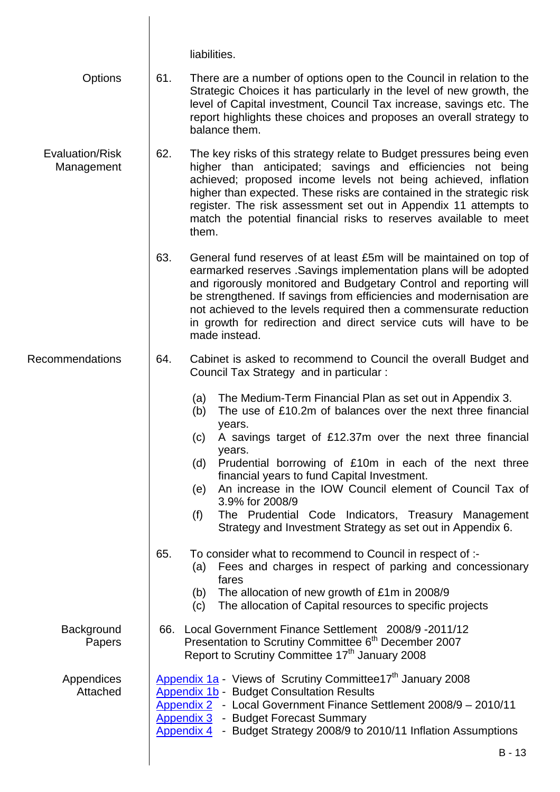|                               | liabilities.                                                                                                                                                                                                                                                                                                                                                                                                                                                                                                                                                 |
|-------------------------------|--------------------------------------------------------------------------------------------------------------------------------------------------------------------------------------------------------------------------------------------------------------------------------------------------------------------------------------------------------------------------------------------------------------------------------------------------------------------------------------------------------------------------------------------------------------|
| Options                       | 61.<br>There are a number of options open to the Council in relation to the<br>Strategic Choices it has particularly in the level of new growth, the<br>level of Capital investment, Council Tax increase, savings etc. The<br>report highlights these choices and proposes an overall strategy to<br>balance them.                                                                                                                                                                                                                                          |
| Evaluation/Risk<br>Management | 62.<br>The key risks of this strategy relate to Budget pressures being even<br>higher than anticipated; savings and efficiencies not being<br>achieved; proposed income levels not being achieved, inflation<br>higher than expected. These risks are contained in the strategic risk<br>register. The risk assessment set out in Appendix 11 attempts to<br>match the potential financial risks to reserves available to meet<br>them.                                                                                                                      |
|                               | 63.<br>General fund reserves of at least £5m will be maintained on top of<br>earmarked reserves. Savings implementation plans will be adopted<br>and rigorously monitored and Budgetary Control and reporting will<br>be strengthened. If savings from efficiencies and modernisation are<br>not achieved to the levels required then a commensurate reduction<br>in growth for redirection and direct service cuts will have to be<br>made instead.                                                                                                         |
| <b>Recommendations</b>        | 64.<br>Cabinet is asked to recommend to Council the overall Budget and<br>Council Tax Strategy and in particular :                                                                                                                                                                                                                                                                                                                                                                                                                                           |
|                               | The Medium-Term Financial Plan as set out in Appendix 3.<br>(a)<br>The use of £10.2m of balances over the next three financial<br>(b)<br>years.<br>(c) A savings target of £12.37m over the next three financial<br>years.<br>Prudential borrowing of £10m in each of the next three<br>(d)<br>financial years to fund Capital Investment.<br>An increase in the IOW Council element of Council Tax of<br>(e)<br>3.9% for 2008/9<br>The Prudential Code Indicators, Treasury Management<br>(f)<br>Strategy and Investment Strategy as set out in Appendix 6. |
|                               | 65.<br>To consider what to recommend to Council in respect of :-<br>Fees and charges in respect of parking and concessionary<br>(a)<br>fares<br>The allocation of new growth of £1m in 2008/9<br>(b)<br>The allocation of Capital resources to specific projects<br>(c)                                                                                                                                                                                                                                                                                      |
| Background<br>Papers          | 66. Local Government Finance Settlement 2008/9-2011/12<br>Presentation to Scrutiny Committee 6 <sup>th</sup> December 2007<br>Report to Scrutiny Committee 17 <sup>th</sup> January 2008                                                                                                                                                                                                                                                                                                                                                                     |
| Appendices<br>Attached        | Appendix 1a - Views of Scrutiny Committee17 <sup>th</sup> January 2008<br><b>Appendix 1b - Budget Consultation Results</b><br>Appendix 2 - Local Government Finance Settlement 2008/9 - 2010/11<br><b>Appendix 3 - Budget Forecast Summary</b><br><b>Appendix 4</b> - Budget Strategy 2008/9 to 2010/11 Inflation Assumptions                                                                                                                                                                                                                                |
|                               | $B - 13$                                                                                                                                                                                                                                                                                                                                                                                                                                                                                                                                                     |